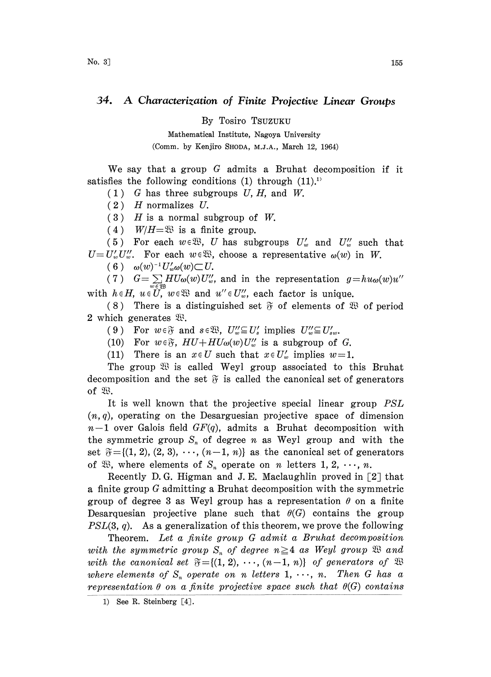## 34. A Characterization of Finite Projective Linear Groups

By Tosiro TSUZUKU

Mathematical Institute, Nagoya University (Comm. by Kenjiro SHODA, M.J.A., March 12, 1964)

We say that a group  $G$  admits a Bruhat decomposition if it satisfies the following conditions (1) through  $(11).$ <sup>1)</sup>

 $(1)$  G has three subgroups U, H, and W.

 $(2)$  H normalizes U.

 $(3)$  H is a normal subgroup of W.

(4)  $W/H = \mathfrak{W}$  is a finite group.

(5) For each  $w \in \mathfrak{B}$ , U has subgroups  $U'_w$  and  $U''_w$  such that  $U=U'_{w}U''_{w}$ . For each  $w \in \mathbb{R}$ , choose a representative  $\omega(w)$  in W.

 $(6)$   $\omega(w)^{-1}U'_w\omega(w) \subset U$ .

(7)  $G = \sum H U_{\omega}(w)U''_{w}$ , and in the representation  $g = hu_{\omega}(w)u''$ with  $h \in H$ ,  $u \in U$ ,  $w \in \mathfrak{W}$  and  $u'' \in U''$ , each factor is unique.

(8) There is a distinguished set  $\tilde{\sigma}$  of elements of  $\mathfrak{B}$  of period 2 which generates  $\mathfrak{B}$ .

(9) For  $w \in \mathfrak{F}$  and  $s \in \mathfrak{B}$ ,  $U''_{w} \subseteq U'_{s}$  implies  $U''_{w} \subseteq U'_{sw}$ .

(10) For  $w \in \mathfrak{F}$ ,  $HU + HU_{\omega}(w)U''_{w}$  is a subgroup of G.

(11) There is an  $x \in U$  such that  $x \in U'_w$  implies  $w=1$ .

The group  $\mathfrak{B}$  is called Weyl group associated to this Bruhat decomposition and the set  $\mathfrak F$  is called the canonical set of generators of  $\mathfrak{B}$ .

It is well known that the projective special linear group  $PSL$  $(n, q)$ , operating on the Desarguesian projective space of dimension  $n-1$  over Galois field  $GF(q)$ , admits a Bruhat decomposition with the symmetric group  $S_n$  of degree n as Weyl group and with the set  $\mathfrak{F} = \{(1, 2), (2, 3), \cdots, (n-1, n)\}\$ as the canonical set of generators of  $\mathfrak{B}$ , where elements of  $S_n$  operate on n letters 1, 2,  $\cdots$ , n.

Recently D.G. Higman and J.E. Maclaughlin proved in  $[2]$  that a finite group G admitting a Bruhat decomposition with the symmetric group of degree 3 as Weyl group has a representation  $\theta$  on a finite Desarquesian projective plane such that  $\theta(G)$  contains the group  $PSL(3, q)$ . As a generalization of this theorem, we prove the following

Theorem. Let a finite group G admit a Bruhat decomposition with the symmetric group  $S_n$  of degree  $n \geq 4$  as Weyl group  $\mathfrak{B}$  and with the canonical set  $\mathfrak{F} = \{(1, 2), \cdots, (n-1, n)\}$  of generators of  $\mathfrak{B}$ where elements of  $S_n$  operate on n letters 1, ..., n. Then G has a representation  $\theta$  on a finite projective space such that  $\theta(G)$  contains

<sup>1)</sup> See R. Steinberg [4].